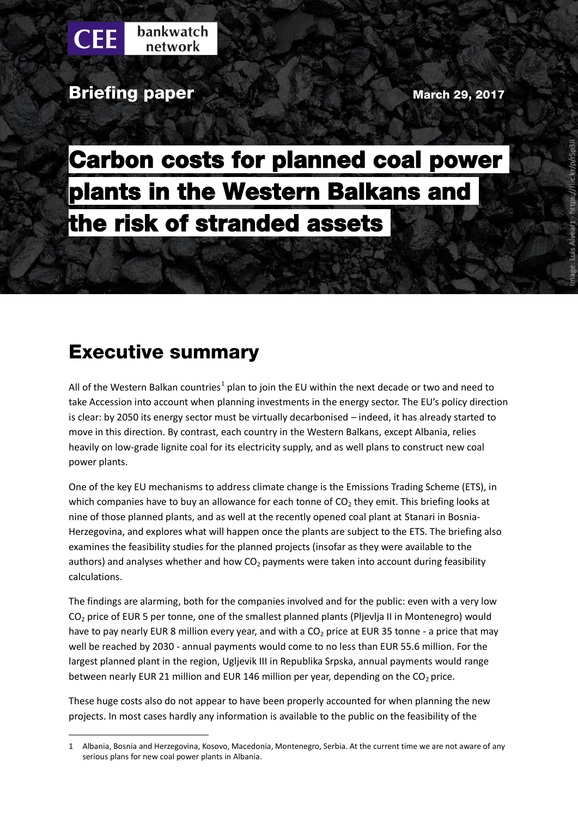**Briefing paper March 29, 2017** March 29, 2017

Carbon costs for planned coal power plants in the Western Balkans and the risk of stranded assets

## Executive summary

 $\overline{a}$ 

All of the Western Balkan countries<sup>1</sup> plan to join the EU within the next decade or two and need to take Accession into account when planning investments in the energy sector. The EU's policy direction is clear: by 2050 its energy sector must be virtually decarbonised – indeed, it has already started to move in this direction. By contrast, each country in the Western Balkans, except Albania, relies heavily on low-grade lignite coal for its electricity supply, and as well plans to construct new coal power plants.

One of the key EU mechanisms to address climate change is the Emissions Trading Scheme (ETS), in which companies have to buy an allowance for each tonne of  $CO<sub>2</sub>$  they emit. This briefing looks at nine of those planned plants, and as well at the recently opened coal plant at Stanari in Bosnia-Herzegovina, and explores what will happen once the plants are subject to the ETS. The briefing also examines the feasibility studies for the planned projects (insofar as they were available to the authors) and analyses whether and how  $CO<sub>2</sub>$  payments were taken into account during feasibility calculations.

The findings are alarming, both for the companies involved and for the public: even with a very low CO<sub>2</sub> price of EUR 5 per tonne, one of the smallest planned plants (Pljevlja II in Montenegro) would have to pay nearly EUR 8 million every year, and with a  $CO<sub>2</sub>$  price at EUR 35 tonne - a price that may well be reached by 2030 - annual payments would come to no less than EUR 55.6 million. For the largest planned plant in the region, Ugljevik III in Republika Srpska, annual payments would range between nearly EUR 21 million and EUR 146 million per year, depending on the  $CO<sub>2</sub>$  price.

These huge costs also do not appear to have been properly accounted for when planning the new projects. In most cases hardly any information is available to the public on the feasibility of the

<sup>1</sup> Albania, Bosnia and Herzegovina, Kosovo, Macedonia, Montenegro, Serbia. At the current time we are not aware of any serious plans for new coal power plants in Albania.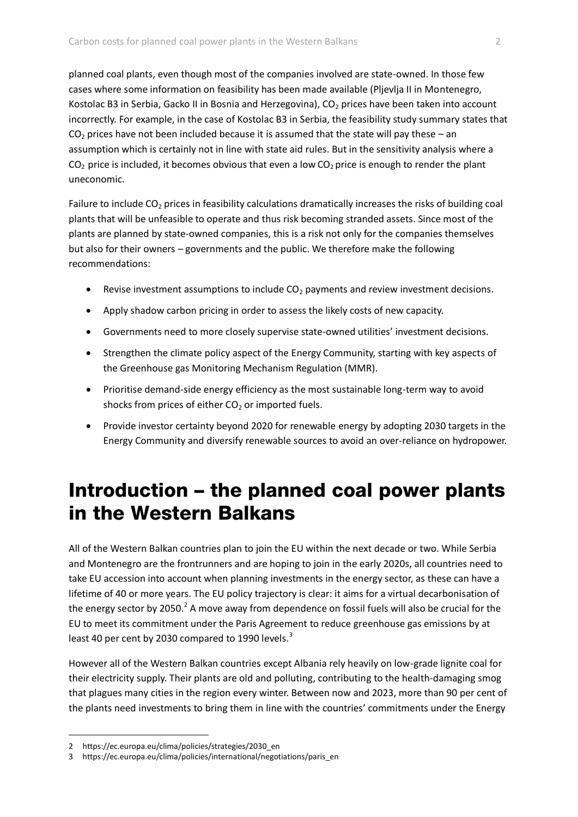planned coal plants, even though most of the companies involved are state-owned. In those few cases where some information on feasibility has been made available (Pljevlja II in Montenegro, Kostolac B3 in Serbia, Gacko II in Bosnia and Herzegovina), CO<sub>2</sub> prices have been taken into account incorrectly. For example, in the case of Kostolac B3 in Serbia, the feasibility study summary states that  $CO<sub>2</sub>$  prices have not been included because it is assumed that the state will pay these – an assumption which is certainly not in line with state aid rules. But in the sensitivity analysis where a  $CO<sub>2</sub>$  price is included, it becomes obvious that even a low  $CO<sub>2</sub>$  price is enough to render the plant uneconomic.

Failure to include  $CO<sub>2</sub>$  prices in feasibility calculations dramatically increases the risks of building coal plants that will be unfeasible to operate and thus risk becoming stranded assets. Since most of the plants are planned by state-owned companies, this is a risk not only for the companies themselves but also for their owners – governments and the public. We therefore make the following recommendations:

- **•** Revise investment assumptions to include  $CO<sub>2</sub>$  payments and review investment decisions.
- Apply shadow carbon pricing in order to assess the likely costs of new capacity.
- Governments need to more closely supervise state-owned utilities' investment decisions.
- Strengthen the climate policy aspect of the Energy Community, starting with key aspects of the Greenhouse gas Monitoring Mechanism Regulation (MMR).
- Prioritise demand-side energy efficiency as the most sustainable long-term way to avoid shocks from prices of either  $CO<sub>2</sub>$  or imported fuels.
- Provide investor certainty beyond 2020 for renewable energy by adopting 2030 targets in the Energy Community and diversify renewable sources to avoid an over-reliance on hydropower.

## Introduction – the planned coal power plants in the Western Balkans

All of the Western Balkan countries plan to join the EU within the next decade or two. While Serbia and Montenegro are the frontrunners and are hoping to join in the early 2020s, all countries need to take EU accession into account when planning investments in the energy sector, as these can have a lifetime of 40 or more years. The EU policy trajectory is clear: it aims for a virtual decarbonisation of the energy sector by 2050.<sup>2</sup> A move away from dependence on fossil fuels will also be crucial for the EU to meet its commitment under the Paris Agreement to reduce greenhouse gas emissions by at least 40 per cent by 2030 compared to 1990 levels.<sup>3</sup>

However all of the Western Balkan countries except Albania rely heavily on low-grade lignite coal for their electricity supply. Their plants are old and polluting, contributing to the health-damaging smog that plagues many cities in the region every winter. Between now and 2023, more than 90 per cent of the plants need investments to bring them in line with the countries' commitments under the Energy

<sup>2</sup> https://ec.europa.eu/clima/policies/strategies/2030\_en

https://ec.europa.eu/clima/policies/international/negotiations/paris\_en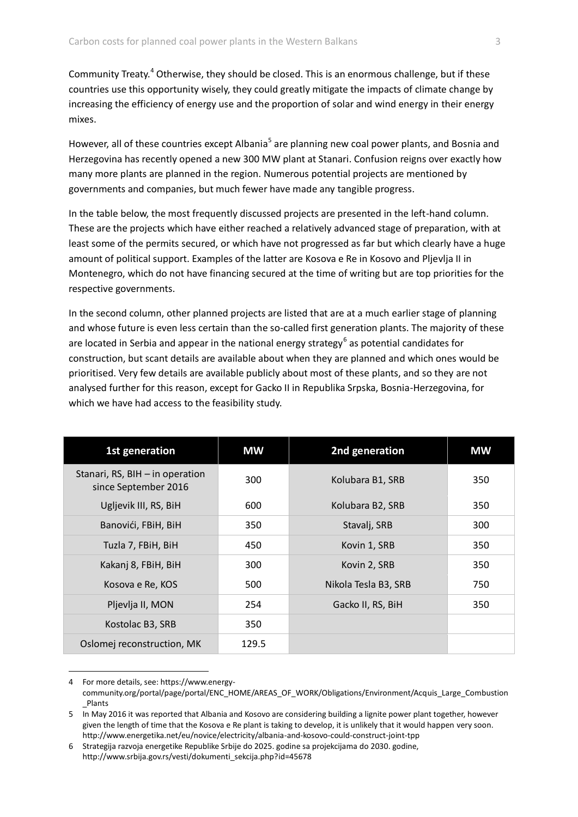Community Treaty.<sup>4</sup> Otherwise, they should be closed. This is an enormous challenge, but if these countries use this opportunity wisely, they could greatly mitigate the impacts of climate change by increasing the efficiency of energy use and the proportion of solar and wind energy in their energy mixes.

However, all of these countries except Albania<sup>5</sup> are planning new coal power plants, and Bosnia and Herzegovina has recently opened a new 300 MW plant at Stanari. Confusion reigns over exactly how many more plants are planned in the region. Numerous potential projects are mentioned by governments and companies, but much fewer have made any tangible progress.

In the table below, the most frequently discussed projects are presented in the left-hand column. These are the projects which have either reached a relatively advanced stage of preparation, with at least some of the permits secured, or which have not progressed as far but which clearly have a huge amount of political support. Examples of the latter are Kosova e Re in Kosovo and Pljevlja II in Montenegro, which do not have financing secured at the time of writing but are top priorities for the respective governments.

In the second column, other planned projects are listed that are at a much earlier stage of planning and whose future is even less certain than the so-called first generation plants. The majority of these are located in Serbia and appear in the national energy strategy<sup>6</sup> as potential candidates for construction, but scant details are available about when they are planned and which ones would be prioritised. Very few details are available publicly about most of these plants, and so they are not analysed further for this reason, except for Gacko II in Republika Srpska, Bosnia-Herzegovina, for which we have had access to the feasibility study.

| 1st generation                                          | <b>MW</b> | 2nd generation       | <b>MW</b> |
|---------------------------------------------------------|-----------|----------------------|-----------|
| Stanari, RS, BIH - in operation<br>since September 2016 | 300       | Kolubara B1, SRB     | 350       |
| Ugljevik III, RS, BiH                                   | 600       | Kolubara B2, SRB     | 350       |
| Banovići, FBiH, BiH                                     | 350       | Stavalj, SRB         | 300       |
| Tuzla 7, FBiH, BiH                                      | 450       | Kovin 1, SRB         | 350       |
| Kakanj 8, FBiH, BiH                                     | 300       | Kovin 2, SRB         | 350       |
| Kosova e Re, KOS                                        | 500       | Nikola Tesla B3, SRB | 750       |
| Pljevlja II, MON                                        | 254       | Gacko II, RS, BiH    | 350       |
| Kostolac B3, SRB                                        | 350       |                      |           |
| Oslomej reconstruction, MK                              | 129.5     |                      |           |

<sup>4</sup> For more details, see: https://www.energy-

community.org/portal/page/portal/ENC\_HOME/AREAS\_OF\_WORK/Obligations/Environment/Acquis\_Large\_Combustion \_Plants

<sup>5</sup> In May 2016 it was reported that Albania and Kosovo are considering building a lignite power plant together, however given the length of time that the Kosova e Re plant is taking to develop, it is unlikely that it would happen very soon. http://www.energetika.net/eu/novice/electricity/albania-and-kosovo-could-construct-joint-tpp

<sup>6</sup> Strategija razvoja energetike Republike Srbije do 2025. godine sa projekcijama do 2030. godine, http://www.srbija.gov.rs/vesti/dokumenti\_sekcija.php?id=45678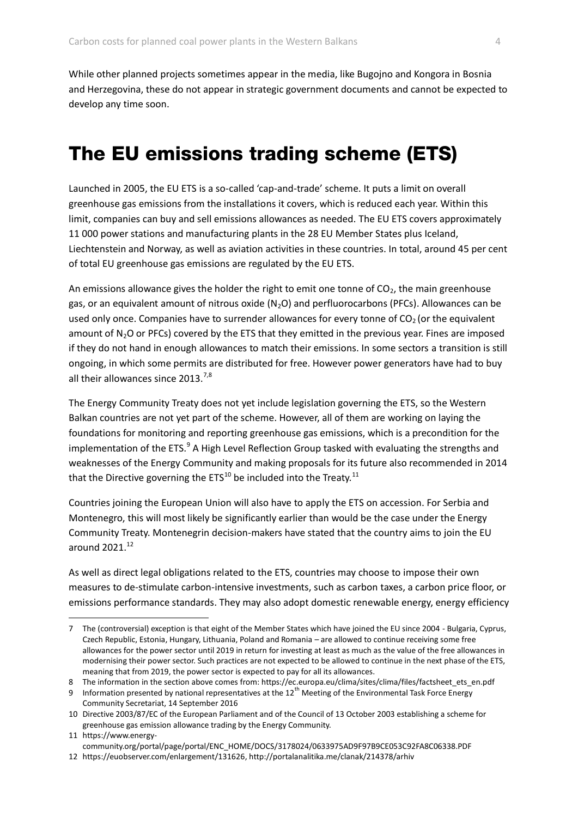While other planned projects sometimes appear in the media, like Bugojno and Kongora in Bosnia and Herzegovina, these do not appear in strategic government documents and cannot be expected to develop any time soon.

## The EU emissions trading scheme (ETS)

Launched in 2005, the EU ETS is a so-called 'cap-and-trade' scheme. It puts a limit on overall greenhouse gas emissions from the installations it covers, which is reduced each year. Within this limit, companies can buy and sell emissions allowances as needed. The EU ETS covers approximately 11 000 power stations and manufacturing plants in the 28 EU Member States plus Iceland, Liechtenstein and Norway, as well as aviation activities in these countries. In total, around 45 per cent of total EU greenhouse gas emissions are regulated by the EU ETS.

An emissions allowance gives the holder the right to emit one tonne of  $CO<sub>2</sub>$ , the main greenhouse gas, or an equivalent amount of nitrous oxide  $(N_2O)$  and perfluorocarbons (PFCs). Allowances can be used only once. Companies have to surrender allowances for every tonne of  $CO<sub>2</sub>$  (or the equivalent amount of  $N_2O$  or PFCs) covered by the ETS that they emitted in the previous year. Fines are imposed if they do not hand in enough allowances to match their emissions. In some sectors a transition is still ongoing, in which some permits are distributed for free. However power generators have had to buy all their allowances since  $2013^{7,8}$ 

The Energy Community Treaty does not yet include legislation governing the ETS, so the Western Balkan countries are not yet part of the scheme. However, all of them are working on laying the foundations for monitoring and reporting greenhouse gas emissions, which is a precondition for the implementation of the ETS.<sup>9</sup> A High Level Reflection Group tasked with evaluating the strengths and weaknesses of the Energy Community and making proposals for its future also recommended in 2014 that the Directive governing the  $ETS^{10}$  be included into the Treaty.<sup>11</sup>

Countries joining the European Union will also have to apply the ETS on accession. For Serbia and Montenegro, this will most likely be significantly earlier than would be the case under the Energy Community Treaty. Montenegrin decision-makers have stated that the country aims to join the EU around  $2021.<sup>12</sup>$ 

As well as direct legal obligations related to the ETS, countries may choose to impose their own measures to de-stimulate carbon-intensive investments, such as carbon taxes, a carbon price floor, or emissions performance standards. They may also adopt domestic renewable energy, energy efficiency

11 https://www.energycommunity.org/portal/page/portal/ENC\_HOME/DOCS/3178024/0633975AD9F97B9CE053C92FA8C06338.PDF

<sup>7</sup> The (controversial) exception is that eight of the Member States which have joined the EU since 2004 - Bulgaria, Cyprus, Czech Republic, Estonia, Hungary, Lithuania, Poland and Romania – are allowed to continue receiving some free allowances for the power sector until 2019 in return for investing at least as much as the value of the free allowances in modernising their power sector. Such practices are not expected to be allowed to continue in the next phase of the ETS, meaning that from 2019, the power sector is expected to pay for all its allowances.

<sup>8</sup> The information in the section above comes from: https://ec.europa.eu/clima/sites/clima/files/factsheet\_ets\_en.pdf

<sup>9</sup> Information presented by national representatives at the 12<sup>th</sup> Meeting of the Environmental Task Force Energy Community Secretariat, 14 September 2016

<sup>10</sup> Directive 2003/87/EC of the European Parliament and of the Council of 13 October 2003 establishing a scheme for greenhouse gas emission allowance trading by the Energy Community.

<sup>12</sup> [https://euobserver.com/enlargement/131626,](https://euobserver.com/enlargement/131626) http://portalanalitika.me/clanak/214378/arhiv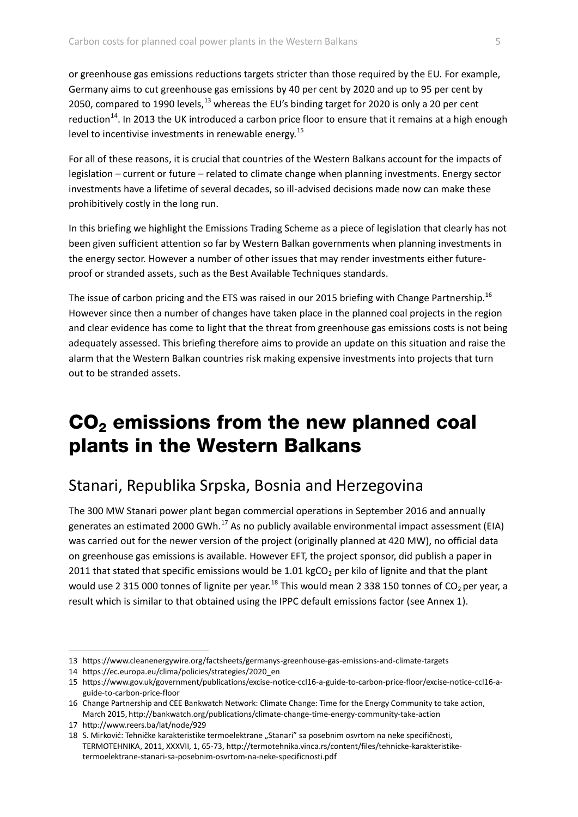or greenhouse gas emissions reductions targets stricter than those required by the EU. For example, Germany aims to cut greenhouse gas emissions by 40 per cent by 2020 and up to 95 per cent by 2050, compared to 1990 levels, $^{13}$  whereas the EU's binding target for 2020 is only a 20 per cent reduction<sup>14</sup>. In 2013 the UK introduced a carbon price floor to ensure that it remains at a high enough level to incentivise investments in renewable energy.<sup>15</sup>

For all of these reasons, it is crucial that countries of the Western Balkans account for the impacts of legislation – current or future – related to climate change when planning investments. Energy sector investments have a lifetime of several decades, so ill-advised decisions made now can make these prohibitively costly in the long run.

In this briefing we highlight the Emissions Trading Scheme as a piece of legislation that clearly has not been given sufficient attention so far by Western Balkan governments when planning investments in the energy sector. However a number of other issues that may render investments either futureproof or stranded assets, such as the Best Available Techniques standards.

The issue of carbon pricing and the ETS was raised in our 2015 briefing with Change Partnership.<sup>16</sup> However since then a number of changes have taken place in the planned coal projects in the region and clear evidence has come to light that the threat from greenhouse gas emissions costs is not being adequately assessed. This briefing therefore aims to provide an update on this situation and raise the alarm that the Western Balkan countries risk making expensive investments into projects that turn out to be stranded assets.

## CO<sup>2</sup> emissions from the new planned coal plants in the Western Balkans

### Stanari, Republika Srpska, Bosnia and Herzegovina

The 300 MW Stanari power plant began commercial operations in September 2016 and annually generates an estimated 2000 GWh. $^{17}$  As no publicly available environmental impact assessment (EIA) was carried out for the newer version of the project (originally planned at 420 MW), no official data on greenhouse gas emissions is available. However EFT, the project sponsor, did publish a paper in 2011 that stated that specific emissions would be 1.01 kgCO<sub>2</sub> per kilo of lignite and that the plant would use 2 315 000 tonnes of lignite per year.<sup>18</sup> This would mean 2 338 150 tonnes of CO<sub>2</sub> per year, a result which is similar to that obtained using the IPPC default emissions factor (see Annex 1).

<sup>13</sup> https://www.cleanenergywire.org/factsheets/germanys-greenhouse-gas-emissions-and-climate-targets

<sup>14</sup> https://ec.europa.eu/clima/policies/strategies/2020\_en

<sup>15</sup> https://www.gov.uk/government/publications/excise-notice-ccl16-a-guide-to-carbon-price-floor/excise-notice-ccl16-aguide-to-carbon-price-floor

<sup>16</sup> Change Partnership and CEE Bankwatch Network: Climate Change: Time for the Energy Community to take action, March 2015, http://bankwatch.org/publications/climate-change-time-energy-community-take-action

<sup>17</sup> http://www.reers.ba/lat/node/929

<sup>18</sup> S. Mirković: Tehničke karakteristike termoelektrane "Stanari" sa posebnim osvrtom na neke specifičnosti, TERMOTEHNIKA, 2011, XXXVII, 1, 65-73, http://termotehnika.vinca.rs/content/files/tehnicke-karakteristiketermoelektrane-stanari-sa-posebnim-osvrtom-na-neke-specificnosti.pdf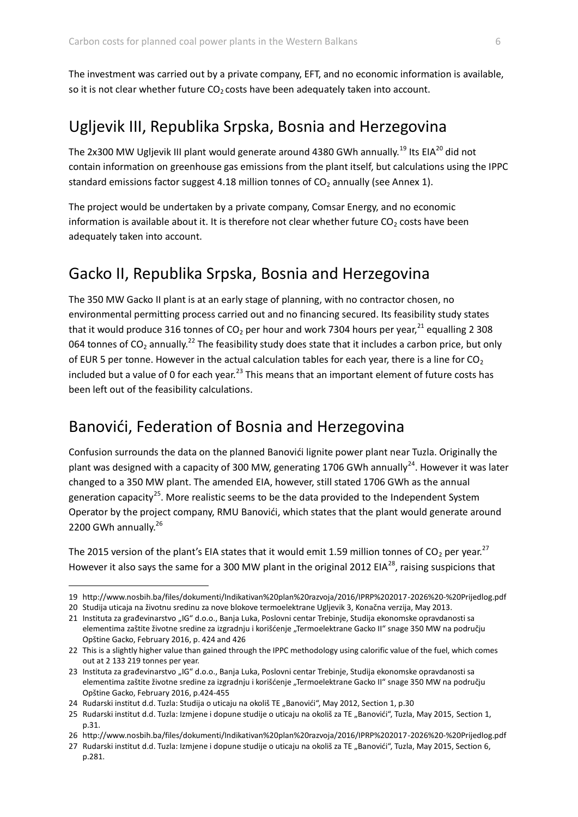The investment was carried out by a private company, EFT, and no economic information is available, so it is not clear whether future  $CO<sub>2</sub>$  costs have been adequately taken into account.

### Ugljevik III, Republika Srpska, Bosnia and Herzegovina

The 2x300 MW Ugljevik III plant would generate around 4380 GWh annually.<sup>19</sup> Its EIA<sup>20</sup> did not contain information on greenhouse gas emissions from the plant itself, but calculations using the IPPC standard emissions factor suggest 4.18 million tonnes of  $CO<sub>2</sub>$  annually (see Annex 1).

The project would be undertaken by a private company, Comsar Energy, and no economic information is available about it. It is therefore not clear whether future  $CO<sub>2</sub>$  costs have been adequately taken into account.

### Gacko II, Republika Srpska, Bosnia and Herzegovina

The 350 MW Gacko II plant is at an early stage of planning, with no contractor chosen, no environmental permitting process carried out and no financing secured. Its feasibility study states that it would produce 316 tonnes of  $CO<sub>2</sub>$  per hour and work 7304 hours per year,<sup>21</sup> equalling 2 308 064 tonnes of  $CO_2$  annually.<sup>22</sup> The feasibility study does state that it includes a carbon price, but only of EUR 5 per tonne. However in the actual calculation tables for each year, there is a line for  $CO<sub>2</sub>$ included but a value of 0 for each year.<sup>23</sup> This means that an important element of future costs has been left out of the feasibility calculations.

### Banovići, Federation of Bosnia and Herzegovina

Confusion surrounds the data on the planned Banovići lignite power plant near Tuzla. Originally the plant was designed with a capacity of 300 MW, generating 1706 GWh annually<sup>24</sup>. However it was later changed to a 350 MW plant. The amended EIA, however, still stated 1706 GWh as the annual generation capacity<sup>25</sup>. More realistic seems to be the data provided to the Independent System Operator by the project company, RMU Banovići, which states that the plant would generate around 2200 GWh annually.<sup>26</sup>

The 2015 version of the plant's EIA states that it would emit 1.59 million tonnes of  $CO_2$  per year.<sup>27</sup> However it also says the same for a 300 MW plant in the original 2012 EIA<sup>28</sup>, raising suspicions that

<sup>19</sup> http://www.nosbih.ba/files/dokumenti/Indikativan%20plan%20razvoja/2016/IPRP%202017-2026%20-%20Prijedlog.pdf

<sup>20</sup> Studija uticaja na životnu sredinu za nove blokove termoelektrane Ugljevik 3, Konačna verzija, May 2013.

<sup>21</sup> Instituta za građevinarstvo "IG" d.o.o., Banja Luka, Poslovni centar Trebinje, Studija ekonomske opravdanosti sa elementima zaštite životne sredine za izgradnju i korišćenje "Termoelektrane Gacko II" snage 350 MW na području Opštine Gacko, February 2016, p. 424 and 426

<sup>22</sup> This is a slightly higher value than gained through the IPPC methodology using calorific value of the fuel, which comes out at 2 133 219 tonnes per year.

<sup>23</sup> Instituta za građevinarstvo "IG" d.o.o., Banja Luka, Poslovni centar Trebinje, Studija ekonomske opravdanosti sa elementima zaštite životne sredine za izgradnju i korišćenje "Termoelektrane Gacko II" snage 350 MW na području Opštine Gacko, February 2016, p.424-455

<sup>24</sup> Rudarski institut d.d. Tuzla: Studija o uticaju na okoliš TE "Banovići", May 2012, Section 1, p.30

<sup>25</sup> Rudarski institut d.d. Tuzla: Izmjene i dopune studije o uticaju na okoliš za TE "Banovići", Tuzla, May 2015, Section 1, p.31.

<sup>26</sup> http://www.nosbih.ba/files/dokumenti/Indikativan%20plan%20razvoja/2016/IPRP%202017-2026%20-%20Prijedlog.pdf

<sup>27</sup> Rudarski institut d.d. Tuzla: Izmjene i dopune studije o uticaju na okoliš za TE "Banovići", Tuzla, May 2015, Section 6, p.281.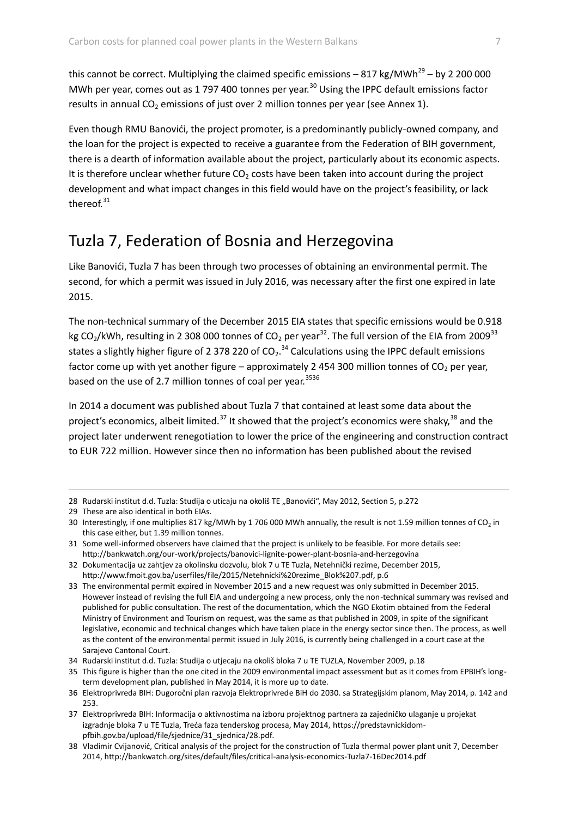this cannot be correct. Multiplying the claimed specific emissions  $-817$  kg/MWh<sup>29</sup> – by 2 200 000 MWh per year, comes out as 1 797 400 tonnes per year.<sup>30</sup> Using the IPPC default emissions factor results in annual  $CO<sub>2</sub>$  emissions of just over 2 million tonnes per year (see Annex 1).

Even though RMU Banovići, the project promoter, is a predominantly publicly-owned company, and the loan for the project is expected to receive a guarantee from the Federation of BIH government, there is a dearth of information available about the project, particularly about its economic aspects. It is therefore unclear whether future  $CO<sub>2</sub>$  costs have been taken into account during the project development and what impact changes in this field would have on the project's feasibility, or lack thereof. $31$ 

### Tuzla 7, Federation of Bosnia and Herzegovina

Like Banovići, Tuzla 7 has been through two processes of obtaining an environmental permit. The second, for which a permit was issued in July 2016, was necessary after the first one expired in late 2015.

The non-technical summary of the December 2015 EIA states that specific emissions would be 0.918 kg CO<sub>2</sub>/kWh, resulting in 2 308 000 tonnes of CO<sub>2</sub> per year<sup>32</sup>. The full version of the EIA from 2009<sup>33</sup> states a slightly higher figure of 2 378 220 of  $CO_2$ .<sup>34</sup> Calculations using the IPPC default emissions factor come up with yet another figure – approximately 2 454 300 million tonnes of  $CO_2$  per year, based on the use of 2.7 million tonnes of coal per year.<sup>3536</sup>

In 2014 a document was published about Tuzla 7 that contained at least some data about the project's economics, albeit limited.<sup>37</sup> It showed that the project's economics were shaky,  $38$  and the project later underwent renegotiation to lower the price of the engineering and construction contract to EUR 722 million. However since then no information has been published about the revised

29 These are also identical in both EIAs.

 $\overline{a}$ 

32 Dokumentacija uz zahtjev za okolinsku dozvolu, blok 7 u TE Tuzla, Netehnički rezime, December 2015, [http://www.fmoit.gov.ba/userfiles/file/2015/Netehnicki%20rezime\\_Blok%207.pdf,](http://7.pdf/) p.6

<sup>28</sup> Rudarski institut d.d. Tuzla: Studija o uticaju na okoliš TE "Banovići", May 2012, Section 5, p.272

<sup>30</sup> Interestingly, if one multiplies 817 kg/MWh by 1 706 000 MWh annually, the result is not 1.59 million tonnes of CO<sub>2</sub> in this case either, but 1.39 million tonnes.

<sup>31</sup> Some well-informed observers have claimed that the project is unlikely to be feasible. For more details see: http://bankwatch.org/our-work/projects/banovici-lignite-power-plant-bosnia-and-herzegovina

<sup>33</sup> The environmental permit expired in November 2015 and a new request was only submitted in December 2015. However instead of revising the full EIA and undergoing a new process, only the non-technical summary was revised and published for public consultation. The rest of the documentation, which the NGO Ekotim obtained from the Federal Ministry of Environment and Tourism on request, was the same as that published in 2009, in spite of the significant legislative, economic and technical changes which have taken place in the energy sector since then. The process, as well as the content of the environmental permit issued in July 2016, is currently being challenged in a court case at the Sarajevo Cantonal Court.

<sup>34</sup> Rudarski institut d.d. Tuzla: Studija o utjecaju na okoliš bloka 7 u TE TUZLA, November 2009, p.18

<sup>35</sup> This figure is higher than the one cited in the 2009 environmental impact assessment but as it comes from EPBIH's longterm development plan, published in May 2014, it is more up to date.

<sup>36</sup> Elektroprivreda BIH: Dugoročni plan razvoja Elektroprivrede BiH do 2030. sa Strategijskim planom, May 2014, p. 142 and 253.

<sup>37</sup> Elektroprivreda BIH: Informacija o aktivnostima na izboru projektnog partnera za zajedničko ulaganje u projekat izgradnje bloka 7 u TE Tuzla, Treća faza tenderskog procesa, May 2014, [https://predstavnickidom](https://predstavnickidom-pfbih.gov.ba/upload/file/sjednice/31_sjednica/28.pdf)[pfbih.gov.ba/upload/file/sjednice/31\\_sjednica/28.pdf.](https://predstavnickidom-pfbih.gov.ba/upload/file/sjednice/31_sjednica/28.pdf)

<sup>38</sup> Vladimir Cvijanović, Critical analysis of the project for the construction of Tuzla thermal power plant unit 7, December 2014, http://bankwatch.org/sites/default/files/critical-analysis-economics-Tuzla7-16Dec2014.pdf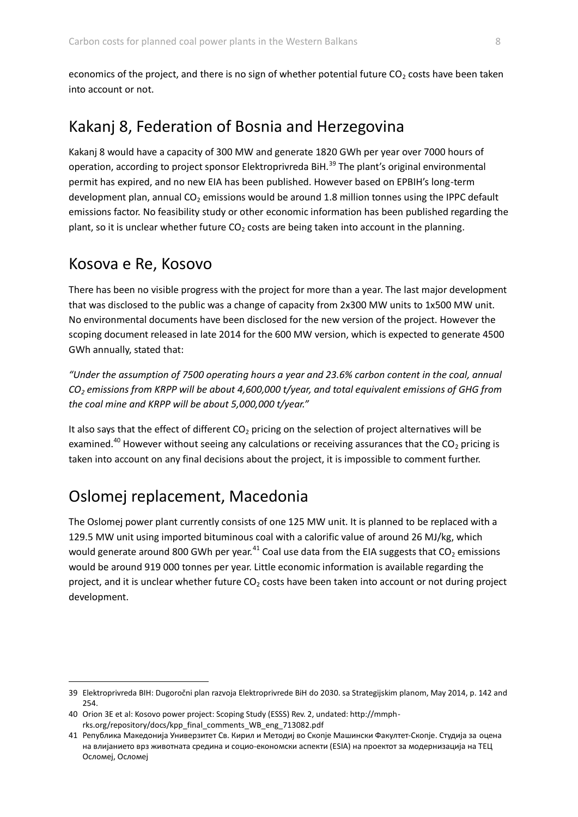economics of the project, and there is no sign of whether potential future  $CO<sub>2</sub>$  costs have been taken into account or not.

### Kakanj 8, Federation of Bosnia and Herzegovina

Kakanj 8 would have a capacity of 300 MW and generate 1820 GWh per year over 7000 hours of operation, according to project sponsor Elektroprivreda BiH.<sup>39</sup> The plant's original environmental permit has expired, and no new EIA has been published. However based on EPBIH's long-term development plan, annual  $CO<sub>2</sub>$  emissions would be around 1.8 million tonnes using the IPPC default emissions factor. No feasibility study or other economic information has been published regarding the plant, so it is unclear whether future  $CO<sub>2</sub>$  costs are being taken into account in the planning.

#### Kosova e Re, Kosovo

 $\overline{a}$ 

There has been no visible progress with the project for more than a year. The last major development that was disclosed to the public was a change of capacity from 2x300 MW units to 1x500 MW unit. No environmental documents have been disclosed for the new version of the project. However the scoping document released in late 2014 for the 600 MW version, which is expected to generate 4500 GWh annually, stated that:

*"Under the assumption of 7500 operating hours a year and 23.6% carbon content in the coal, annual CO<sup>2</sup> emissions from KRPP will be about 4,600,000 t/year, and total equivalent emissions of GHG from the coal mine and KRPP will be about 5,000,000 t/year."* 

It also says that the effect of different  $CO<sub>2</sub>$  pricing on the selection of project alternatives will be examined.<sup>40</sup> However without seeing any calculations or receiving assurances that the CO<sub>2</sub> pricing is taken into account on any final decisions about the project, it is impossible to comment further.

## Oslomej replacement, Macedonia

The Oslomej power plant currently consists of one 125 MW unit. It is planned to be replaced with a 129.5 MW unit using imported bituminous coal with a calorific value of around 26 MJ/kg, which would generate around 800 GWh per year.<sup>41</sup> Coal use data from the EIA suggests that  $CO<sub>2</sub>$  emissions would be around 919 000 tonnes per year. Little economic information is available regarding the project, and it is unclear whether future  $CO<sub>2</sub>$  costs have been taken into account or not during project development.

<sup>39</sup> Elektroprivreda BIH: Dugoročni plan razvoja Elektroprivrede BiH do 2030. sa Strategijskim planom, May 2014, p. 142 and 254.

<sup>40</sup> Orion 3E et al: Kosovo power project: Scoping Study (ESSS) Rev. 2, undated: http://mmphrks.org/repository/docs/kpp\_final\_comments\_WB\_eng\_713082.pdf

<sup>41</sup> Република Македонија Универзитет Св. Кирил и Методиј во Скопје Машински Факултет‐Скопје. Студија за оцена на влијанието врз животната средина и социо‐економски аспекти (ESIA) на проектот за модернизација на ТЕЦ Осломеј, Осломеј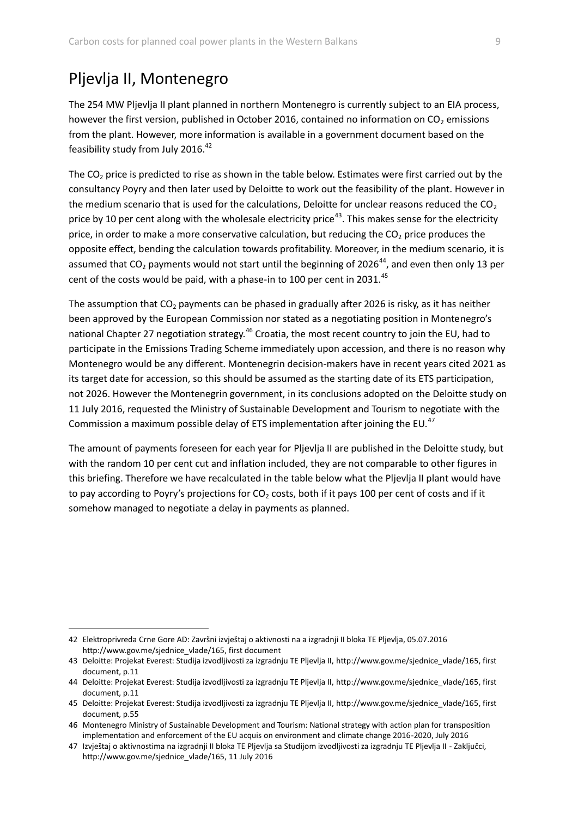### Pljevlja II, Montenegro

 $\overline{a}$ 

The 254 MW Pljevlja II plant planned in northern Montenegro is currently subject to an EIA process, however the first version, published in October 2016, contained no information on  $CO<sub>2</sub>$  emissions from the plant. However, more information is available in a government document based on the feasibility study from July 2016.<sup>42</sup>

The  $CO<sub>2</sub>$  price is predicted to rise as shown in the table below. Estimates were first carried out by the consultancy Poyry and then later used by Deloitte to work out the feasibility of the plant. However in the medium scenario that is used for the calculations, Deloitte for unclear reasons reduced the  $CO<sub>2</sub>$ price by 10 per cent along with the wholesale electricity price<sup>43</sup>. This makes sense for the electricity price, in order to make a more conservative calculation, but reducing the  $CO<sub>2</sub>$  price produces the opposite effect, bending the calculation towards profitability. Moreover, in the medium scenario, it is assumed that  $CO<sub>2</sub>$  payments would not start until the beginning of 2026<sup>44</sup>, and even then only 13 per cent of the costs would be paid, with a phase-in to 100 per cent in 2031.<sup>45</sup>

The assumption that  $CO<sub>2</sub>$  payments can be phased in gradually after 2026 is risky, as it has neither been approved by the European Commission nor stated as a negotiating position in Montenegro's national Chapter 27 negotiation strategy.<sup>46</sup> Croatia, the most recent country to join the EU, had to participate in the Emissions Trading Scheme immediately upon accession, and there is no reason why Montenegro would be any different. Montenegrin decision-makers have in recent years cited 2021 as its target date for accession, so this should be assumed as the starting date of its ETS participation, not 2026. However the Montenegrin government, in its conclusions adopted on the Deloitte study on 11 July 2016, requested the Ministry of Sustainable Development and Tourism to negotiate with the Commission a maximum possible delay of ETS implementation after joining the EU.<sup>47</sup>

The amount of payments foreseen for each year for Pljevlja II are published in the Deloitte study, but with the random 10 per cent cut and inflation included, they are not comparable to other figures in this briefing. Therefore we have recalculated in the table below what the Pljevlja II plant would have to pay according to Poyry's projections for  $CO<sub>2</sub>$  costs, both if it pays 100 per cent of costs and if it somehow managed to negotiate a delay in payments as planned.

<sup>42</sup> Elektroprivreda Crne Gore AD: Završni izvještaj o aktivnosti na a izgradnji II bloka TE Pljevlja, 05.07.2016 [http://www.gov.me/sjednice\\_vlade/165,](http://www.gov.me/sjednice_vlade/165) first document

<sup>43</sup> Deloitte: Projekat Everest: Studija izvodljivosti za izgradnju TE Pljevlja II, [http://www.gov.me/sjednice\\_vlade/165,](http://www.gov.me/sjednice_vlade/165) first document, p.11

<sup>44</sup> Deloitte: Projekat Everest: Studija izvodljivosti za izgradnju TE Pljevlja II, [http://www.gov.me/sjednice\\_vlade/165,](http://www.gov.me/sjednice_vlade/165) first document, p.11

<sup>45</sup> Deloitte: Projekat Everest: Studija izvodljivosti za izgradnju TE Pljevlja II[, http://www.gov.me/sjednice\\_vlade/165,](http://www.gov.me/sjednice_vlade/165) first document, p.55

<sup>46</sup> Montenegro Ministry of Sustainable Development and Tourism: National strategy with action plan for transposition implementation and enforcement of the EU acquis on environment and climate change 2016-2020, July 2016

<sup>47</sup> Izvještaj o aktivnostima na izgradnji II bloka TE Pljevlja sa Studijom izvodljivosti za izgradnju TE Pljevlja II - Zaključci, [http://www.gov.me/sjednice\\_vlade/165,](http://www.gov.me/sjednice_vlade/165) 11 July 2016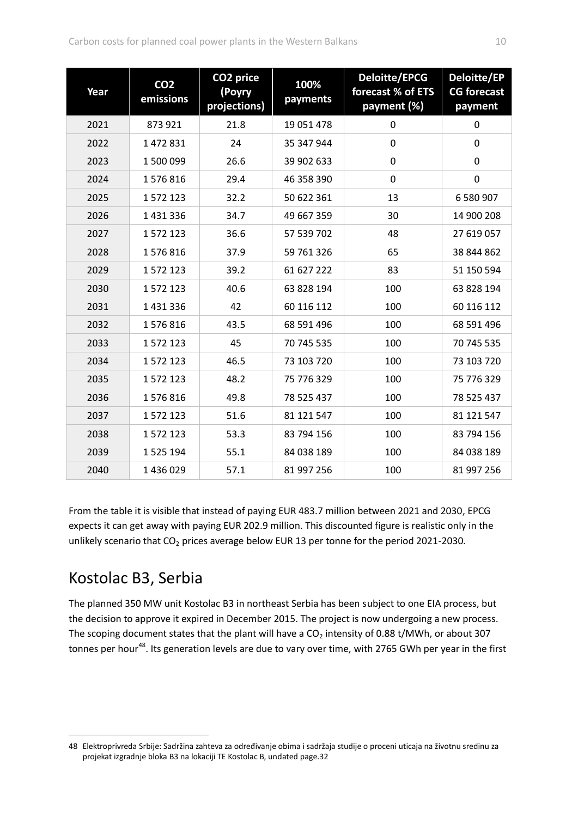| Year | CO <sub>2</sub><br>emissions | CO <sub>2</sub> price<br>(Poyry<br>projections) | 100%<br>payments | <b>Deloitte/EPCG</b><br>forecast % of ETS<br>payment (%) | Deloitte/EP<br><b>CG forecast</b><br>payment |
|------|------------------------------|-------------------------------------------------|------------------|----------------------------------------------------------|----------------------------------------------|
| 2021 | 873 921                      | 21.8                                            | 19 051 478       | $\mathbf 0$                                              | $\mathbf 0$                                  |
| 2022 | 1472831                      | 24                                              | 35 347 944       | $\pmb{0}$                                                | $\mathbf 0$                                  |
| 2023 | 1500099                      | 26.6                                            | 39 902 633       | 0                                                        | $\mathbf 0$                                  |
| 2024 | 1576816                      | 29.4                                            | 46 358 390       | $\mathbf 0$                                              | $\mathbf 0$                                  |
| 2025 | 1572123                      | 32.2                                            | 50 622 361       | 13                                                       | 6 580 907                                    |
| 2026 | 1431336                      | 34.7                                            | 49 667 359       | 30                                                       | 14 900 208                                   |
| 2027 | 1572123                      | 36.6                                            | 57 539 702       | 48                                                       | 27 619 057                                   |
| 2028 | 1576816                      | 37.9                                            | 59 761 326       | 65                                                       | 38 844 862                                   |
| 2029 | 1572123                      | 39.2                                            | 61 627 222       | 83                                                       | 51 150 594                                   |
| 2030 | 1572123                      | 40.6                                            | 63 828 194       | 100                                                      | 63 828 194                                   |
| 2031 | 1431336                      | 42                                              | 60 116 112       | 100                                                      | 60 116 112                                   |
| 2032 | 1576816                      | 43.5                                            | 68 591 496       | 100                                                      | 68 591 496                                   |
| 2033 | 1572123                      | 45                                              | 70 745 535       | 100                                                      | 70 745 535                                   |
| 2034 | 1572123                      | 46.5                                            | 73 103 720       | 100                                                      | 73 103 720                                   |
| 2035 | 1572123                      | 48.2                                            | 75 776 329       | 100                                                      | 75 776 329                                   |
| 2036 | 1576816                      | 49.8                                            | 78 525 437       | 100                                                      | 78 525 437                                   |
| 2037 | 1572123                      | 51.6                                            | 81 121 547       | 100                                                      | 81 121 547                                   |
| 2038 | 1572123                      | 53.3                                            | 83 794 156       | 100                                                      | 83 794 156                                   |
| 2039 | 1525194                      | 55.1                                            | 84 038 189       | 100                                                      | 84 038 189                                   |
| 2040 | 1436029                      | 57.1                                            | 81 997 256       | 100                                                      | 81 997 256                                   |

From the table it is visible that instead of paying EUR 483.7 million between 2021 and 2030, EPCG expects it can get away with paying EUR 202.9 million. This discounted figure is realistic only in the unlikely scenario that  $CO<sub>2</sub>$  prices average below EUR 13 per tonne for the period 2021-2030.

## Kostolac B3, Serbia

 $\overline{a}$ 

The planned 350 MW unit Kostolac B3 in northeast Serbia has been subject to one EIA process, but the decision to approve it expired in December 2015. The project is now undergoing a new process. The scoping document states that the plant will have a  $CO<sub>2</sub>$  intensity of 0.88 t/MWh, or about 307 tonnes per hour<sup>48</sup>. Its generation levels are due to vary over time, with 2765 GWh per year in the first

<sup>48</sup> Elektroprivreda Srbije: Sadržina zahteva za određivanje obima i sadržaja studije o proceni uticaja na životnu sredinu za projekat izgradnje bloka B3 na lokaciji TE Kostolac B, undated page.32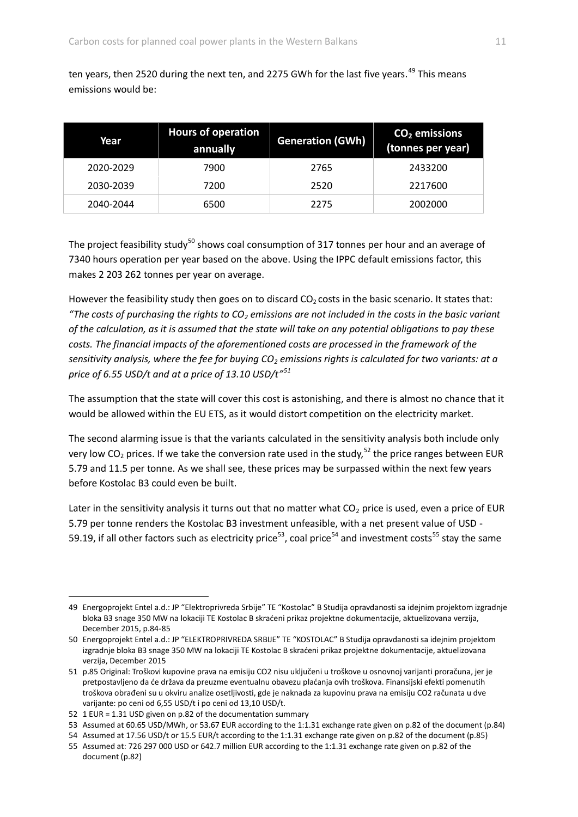ten years, then 2520 during the next ten, and 2275 GWh for the last five years.<sup>49</sup> This means emissions would be:

| Year      | <b>Hours of operation</b><br>annually | <b>Generation (GWh)</b> | $CO2$ emissions<br>(tonnes per year) |
|-----------|---------------------------------------|-------------------------|--------------------------------------|
| 2020-2029 | 7900                                  | 2765                    | 2433200                              |
| 2030-2039 | 7200                                  | 2520                    | 2217600                              |
| 2040-2044 | 6500                                  | 2275                    | 2002000                              |

The project feasibility study<sup>50</sup> shows coal consumption of 317 tonnes per hour and an average of 7340 hours operation per year based on the above. Using the IPPC default emissions factor, this makes 2 203 262 tonnes per year on average.

However the feasibility study then goes on to discard  $CO<sub>2</sub>$  costs in the basic scenario. It states that: *"The costs of purchasing the rights to CO<sup>2</sup> emissions are not included in the costs in the basic variant of the calculation, as it is assumed that the state will take on any potential obligations to pay these*  costs. The financial impacts of the aforementioned costs are processed in the framework of the *sensitivity analysis, where the fee for buying CO<sup>2</sup> emissions rights is calculated for two variants: at a price of 6.55 USD/t and at a price of 13.10 USD/t"<sup>51</sup>*

The assumption that the state will cover this cost is astonishing, and there is almost no chance that it would be allowed within the EU ETS, as it would distort competition on the electricity market.

The second alarming issue is that the variants calculated in the sensitivity analysis both include only very low  $CO_2$  prices. If we take the conversion rate used in the study,<sup>52</sup> the price ranges between EUR 5.79 and 11.5 per tonne. As we shall see, these prices may be surpassed within the next few years before Kostolac B3 could even be built.

Later in the sensitivity analysis it turns out that no matter what  $CO<sub>2</sub>$  price is used, even a price of EUR 5.79 per tonne renders the Kostolac B3 investment unfeasible, with a net present value of USD - 59.19, if all other factors such as electricity price<sup>53</sup>, coal price<sup>54</sup> and investment costs<sup>55</sup> stay the same

<sup>49</sup> Energoprojekt Entel a.d.: JP "Elektroprivreda Srbije" TE "Kostolac" B Studija opravdanosti sa idejnim projektom izgradnje bloka B3 snage 350 MW na lokaciji TE Kostolac B skraćeni prikaz projektne dokumentacije, aktuelizovana verzija, December 2015, p.84-85

<sup>50</sup> Energoprojekt Entel a.d.: JP "ELEKTROPRIVREDA SRBIJE" TE "KOSTOLAC" B Studija opravdanosti sa idejnim projektom izgradnje bloka B3 snage 350 MW na lokaciji TE Kostolac B skraćeni prikaz projektne dokumentacije, aktuelizovana verzija, December 2015

<sup>51</sup> p.85 Original: Troškovi kupovine prava na emisiju CO2 nisu uključeni u troškove u osnovnoj varijanti proračuna, jer je pretpostavljeno da će država da preuzme eventualnu obavezu plaćanja ovih troškova. Finansijski efekti pomenutih troškova obrađeni su u okviru analize osetljivosti, gde je naknada za kupovinu prava na emisiju CO2 računata u dve varijante: po ceni od 6,55 USD/t i po ceni od 13,10 USD/t.

<sup>52</sup> 1 EUR = 1.31 USD given on p.82 of the documentation summary

<sup>53</sup> Assumed at 60.65 USD/MWh, or 53.67 EUR according to the 1:1.31 exchange rate given on p.82 of the document (p.84)

<sup>54</sup> Assumed at 17.56 USD/t or 15.5 EUR/t according to the 1:1.31 exchange rate given on p.82 of the document (p.85)

<sup>55</sup> Assumed at: 726 297 000 USD or 642.7 million EUR according to the 1:1.31 exchange rate given on p.82 of the document (p.82)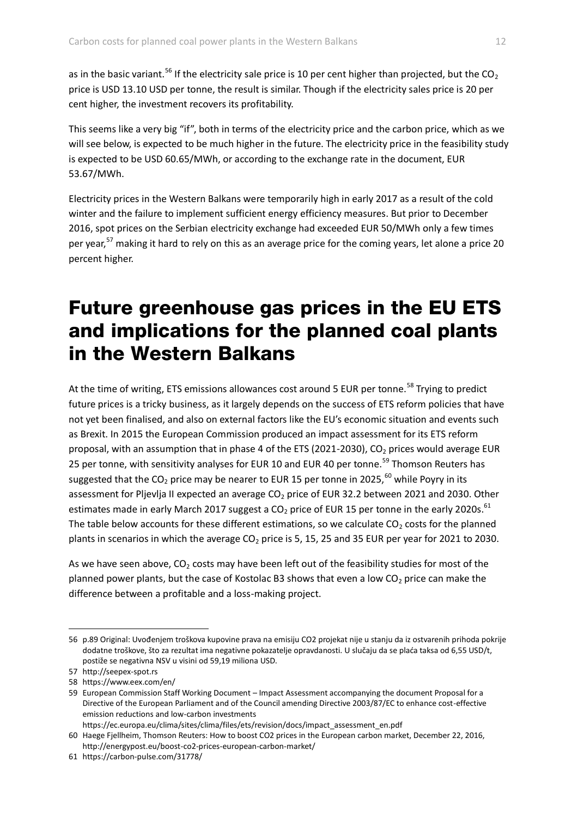as in the basic variant.<sup>56</sup> If the electricity sale price is 10 per cent higher than projected, but the CO<sub>2</sub> price is USD 13.10 USD per tonne, the result is similar. Though if the electricity sales price is 20 per cent higher, the investment recovers its profitability.

This seems like a very big "if", both in terms of the electricity price and the carbon price, which as we will see below, is expected to be much higher in the future. The electricity price in the feasibility study is expected to be USD 60.65/MWh, or according to the exchange rate in the document, EUR 53.67/MWh.

Electricity prices in the Western Balkans were temporarily high in early 2017 as a result of the cold winter and the failure to implement sufficient energy efficiency measures. But prior to December 2016, spot prices on the Serbian electricity exchange had exceeded EUR 50/MWh only a few times per year,<sup>57</sup> making it hard to rely on this as an average price for the coming years, let alone a price 20 percent higher.

## Future greenhouse gas prices in the EU ETS and implications for the planned coal plants in the Western Balkans

At the time of writing, ETS emissions allowances cost around 5 EUR per tonne.<sup>58</sup> Trying to predict future prices is a tricky business, as it largely depends on the success of ETS reform policies that have not yet been finalised, and also on external factors like the EU's economic situation and events such as Brexit. In 2015 the European Commission produced an impact assessment for its ETS reform proposal, with an assumption that in phase 4 of the ETS (2021-2030), CO<sub>2</sub> prices would average EUR 25 per tonne, with sensitivity analyses for EUR 10 and EUR 40 per tonne.<sup>59</sup> Thomson Reuters has suggested that the  $CO_2$  price may be nearer to EUR 15 per tonne in 2025,<sup>60</sup> while Poyry in its assessment for Pljevlja II expected an average  $CO<sub>2</sub>$  price of EUR 32.2 between 2021 and 2030. Other estimates made in early March 2017 suggest a  $CO<sub>2</sub>$  price of EUR 15 per tonne in the early 2020s.<sup>61</sup> The table below accounts for these different estimations, so we calculate  $CO<sub>2</sub>$  costs for the planned plants in scenarios in which the average  $CO<sub>2</sub>$  price is 5, 15, 25 and 35 EUR per year for 2021 to 2030.

As we have seen above,  $CO<sub>2</sub>$  costs may have been left out of the feasibility studies for most of the planned power plants, but the case of Kostolac B3 shows that even a low  $CO<sub>2</sub>$  price can make the difference between a profitable and a loss-making project.

 $\overline{a}$ 

https://ec.europa.eu/clima/sites/clima/files/ets/revision/docs/impact\_assessment\_en.pdf

<sup>56</sup> p.89 Original: Uvođenjem troškova kupovine prava na emisiju CO2 projekat nije u stanju da iz ostvarenih prihoda pokrije dodatne troškove, što za rezultat ima negativne pokazatelje opravdanosti. U slučaju da se plaća taksa od 6,55 USD/t, postiže se negativna NSV u visini od 59,19 miliona USD.

<sup>57</sup> http://seepex-spot.rs

<sup>58</sup> https://www.eex.com/en/

<sup>59</sup> European Commission Staff Working Document – Impact Assessment accompanying the document Proposal for a Directive of the European Parliament and of the Council amending Directive 2003/87/EC to enhance cost-effective emission reductions and low-carbon investments

<sup>60</sup> Haege Fjellheim, Thomson Reuters: How to boost CO2 prices in the European carbon market, December 22, 2016, http://energypost.eu/boost-co2-prices-european-carbon-market/

<sup>61</sup> https://carbon-pulse.com/31778/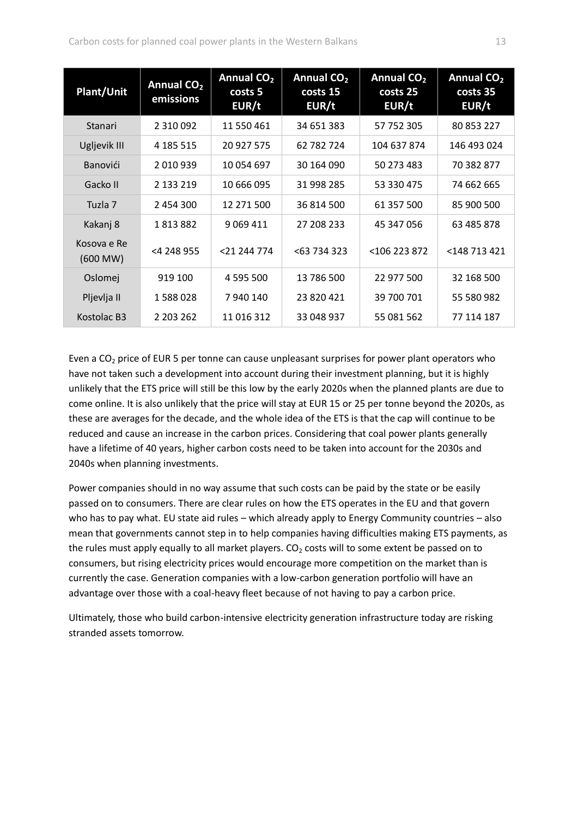| <b>Plant/Unit</b>       | Annual CO <sub>2</sub><br>emissions | Annual CO <sub>2</sub><br>costs 5<br>EUR/t | Annual CO <sub>2</sub><br>costs 15<br>EUR/t | Annual CO <sub>2</sub><br>costs 25<br>EUR/t | <b>Annual CO<sub>2</sub></b><br>costs 35<br>EUR/t |
|-------------------------|-------------------------------------|--------------------------------------------|---------------------------------------------|---------------------------------------------|---------------------------------------------------|
| <b>Stanari</b>          | 2 3 1 0 0 9 2                       | 11 550 461                                 | 34 651 383                                  | 57 752 305                                  | 80 853 227                                        |
| Ugljevik III            | 4 185 515                           | 20 927 575                                 | 62 782 724                                  | 104 637 874                                 | 146 493 024                                       |
| Banovići                | 2 010 939                           | 10 054 697                                 | 30 164 090                                  | 50 273 483                                  | 70 382 877                                        |
| Gacko II                | 2 133 219                           | 10 666 095                                 | 31 998 285                                  | 53 330 475                                  | 74 662 665                                        |
| Tuzla 7                 | 2 454 300                           | 12 271 500                                 | 36 814 500                                  | 61 357 500                                  | 85 900 500                                        |
| Kakanj 8                | 1813882                             | 9 0 69 4 11                                | 27 208 233                                  | 45 347 056                                  | 63 485 878                                        |
| Kosova e Re<br>(600 MW) | <4 248 955                          | <21 244 774                                | < 63734323                                  | <106 223 872                                | <148 713 421                                      |
| Oslomej                 | 919 100                             | 4 595 500                                  | 13 786 500                                  | 22 977 500                                  | 32 168 500                                        |
| Pljevlja II             | 1588028                             | 7940140                                    | 23 820 421                                  | 39 700 701                                  | 55 580 982                                        |
| Kostolac B3             | 2 203 262                           | 11 016 312                                 | 33 048 937                                  | 55 081 562                                  | 77 114 187                                        |

Even a  $CO<sub>2</sub>$  price of EUR 5 per tonne can cause unpleasant surprises for power plant operators who have not taken such a development into account during their investment planning, but it is highly unlikely that the ETS price will still be this low by the early 2020s when the planned plants are due to come online. It is also unlikely that the price will stay at EUR 15 or 25 per tonne beyond the 2020s, as these are averages for the decade, and the whole idea of the ETS is that the cap will continue to be reduced and cause an increase in the carbon prices. Considering that coal power plants generally have a lifetime of 40 years, higher carbon costs need to be taken into account for the 2030s and 2040s when planning investments.

Power companies should in no way assume that such costs can be paid by the state or be easily passed on to consumers. There are clear rules on how the ETS operates in the EU and that govern who has to pay what. EU state aid rules – which already apply to Energy Community countries – also mean that governments cannot step in to help companies having difficulties making ETS payments, as the rules must apply equally to all market players.  $CO<sub>2</sub>$  costs will to some extent be passed on to consumers, but rising electricity prices would encourage more competition on the market than is currently the case. Generation companies with a low-carbon generation portfolio will have an advantage over those with a coal-heavy fleet because of not having to pay a carbon price.

Ultimately, those who build carbon-intensive electricity generation infrastructure today are risking stranded assets tomorrow.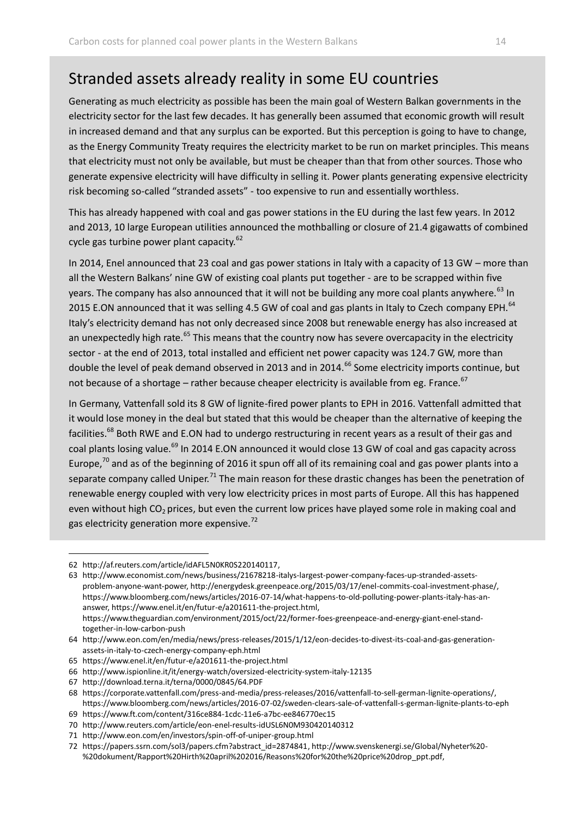## Stranded assets already reality in some EU countries

Generating as much electricity as possible has been the main goal of Western Balkan governments in the electricity sector for the last few decades. It has generally been assumed that economic growth will result in increased demand and that any surplus can be exported. But this perception is going to have to change, as the Energy Community Treaty requires the electricity market to be run on market principles. This means that electricity must not only be available, but must be cheaper than that from other sources. Those who generate expensive electricity will have difficulty in selling it. Power plants generating expensive electricity risk becoming so-called "stranded assets" - too expensive to run and essentially worthless.

This has already happened with coal and gas power stations in the EU during the last few years. In 2012 and 2013, 10 large European utilities announced the mothballing or closure of 21.4 gigawatts of combined cycle gas turbine power plant capacity. $62$ 

In 2014, Enel announced that 23 coal and gas power stations in Italy with a capacity of 13 GW – more than all the Western Balkans' nine GW of existing coal plants put together - are to be scrapped within five years. The company has also announced that it will not be building any more coal plants anywhere. <sup>63</sup> In 2015 E.ON announced that it was selling 4.5 GW of coal and gas plants in Italy to Czech company EPH.<sup>64</sup> Italy's electricity demand has not only decreased since 2008 but renewable energy has also increased at an unexpectedly high rate.<sup>65</sup> This means that the country now has severe overcapacity in the electricity sector - at the end of 2013, total installed and efficient net power capacity was 124.7 GW, more than double the level of peak demand observed in 2013 and in 2014.<sup>66</sup> Some electricity imports continue, but not because of a shortage – rather because cheaper electricity is available from eg. France.<sup>67</sup>

In Germany, Vattenfall sold its 8 GW of lignite-fired power plants to EPH in 2016. Vattenfall admitted that it would lose money in the deal but stated that this would be cheaper than the alternative of keeping the facilities.<sup>68</sup> Both RWE and E.ON had to undergo restructuring in recent years as a result of their gas and coal plants losing value.<sup>69</sup> In 2014 E.ON announced it would close 13 GW of coal and gas capacity across Europe, $70$  and as of the beginning of 2016 it spun off all of its remaining coal and gas power plants into a separate company called Uniper.<sup>71</sup> The main reason for these drastic changes has been the penetration of renewable energy coupled with very low electricity prices in most parts of Europe. All this has happened even without high  $CO<sub>2</sub>$  prices, but even the current low prices have played some role in making coal and gas electricity generation more expensive.<sup>72</sup>

<sup>62</sup> [http://af.reuters.com/article/idAFL5N0KR0S220140117,](http://af.reuters.com/article/idAFL5N0KR0S220140117)

<sup>63</sup> [http://www.economist.com/news/business/21678218-italys-largest-power-company-faces-up-stranded-assets](http://www.economist.com/news/business/21678218-italys-largest-power-company-faces-up-stranded-assets-problem-anyone-want-power)[problem-anyone-want-power,](http://www.economist.com/news/business/21678218-italys-largest-power-company-faces-up-stranded-assets-problem-anyone-want-power) [http://energydesk.greenpeace.org/2015/03/17/enel-commits-coal-investment-phase/,](http://energydesk.greenpeace.org/2015/03/17/enel-commits-coal-investment-phase/)  [https://www.bloomberg.com/news/articles/2016-07-14/what-happens-to-old-polluting-power-plants-italy-has-an](https://www.bloomberg.com/news/articles/2016-07-14/what-happens-to-old-polluting-power-plants-italy-has-an-answer)[answer,](https://www.bloomberg.com/news/articles/2016-07-14/what-happens-to-old-polluting-power-plants-italy-has-an-answer) [https://www.enel.it/en/futur-e/a201611-the-project.html,](https://www.enel.it/en/futur-e/a201611-the-project.html) https://www.theguardian.com/environment/2015/oct/22/former-foes-greenpeace-and-energy-giant-enel-standtogether-in-low-carbon-push

<sup>64</sup> http://www.eon.com/en/media/news/press-releases/2015/1/12/eon-decides-to-divest-its-coal-and-gas-generationassets-in-italy-to-czech-energy-company-eph.html

<sup>65</sup> https://www.enel.it/en/futur-e/a201611-the-project.html

<sup>66</sup> http://www.ispionline.it/it/energy-watch/oversized-electricity-system-italy-12135

<sup>67</sup> http://download.terna.it/terna/0000/0845/64.PDF

<sup>68</sup> [https://corporate.vattenfall.com/press-and-media/press-releases/2016/vattenfall-to-sell-german-lignite-operations/,](https://corporate.vattenfall.com/press-and-media/press-releases/2016/vattenfall-to-sell-german-lignite-operations/) https://www.bloomberg.com/news/articles/2016-07-02/sweden-clears-sale-of-vattenfall-s-german-lignite-plants-to-eph

<sup>69</sup> https://www.ft.com/content/316ce884-1cdc-11e6-a7bc-ee846770ec15

<sup>70</sup> http://www.reuters.com/article/eon-enel-results-idUSL6N0M930420140312

<sup>71</sup> http://www.eon.com/en/investors/spin-off-of-uniper-group.html

<sup>72</sup> [https://papers.ssrn.com/sol3/papers.cfm?abstract\\_id=2874841,](https://papers.ssrn.com/sol3/papers.cfm?abstract_id=2874841) [http://www.svenskenergi.se/Global/Nyheter%20-](http://www.svenskenergi.se/Global/Nyheter%20-%20dokument/Rapport%20Hirth%20april%202016/Reasons%20for%20the%20price%20drop_ppt.pdf) [%20dokument/Rapport%20Hirth%20april%202016/Reasons%20for%20the%20price%20drop\\_ppt.pdf,](http://www.svenskenergi.se/Global/Nyheter%20-%20dokument/Rapport%20Hirth%20april%202016/Reasons%20for%20the%20price%20drop_ppt.pdf)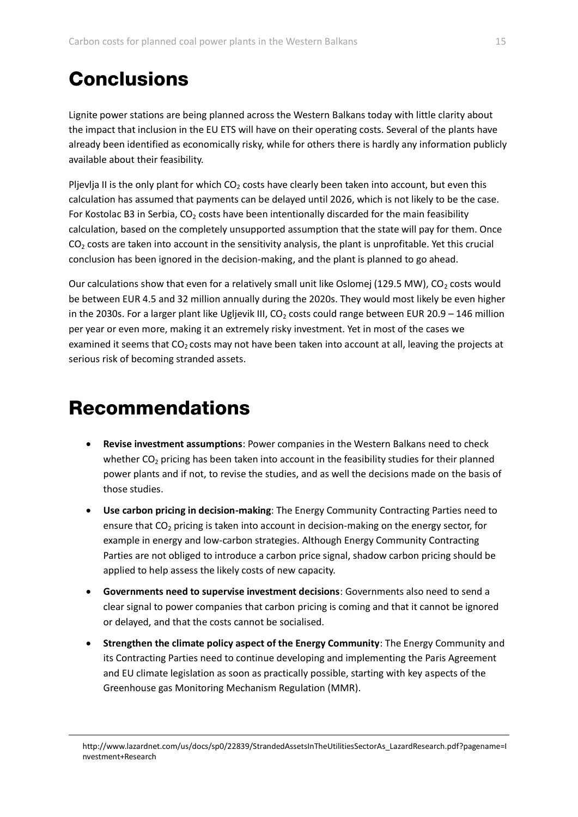# **Conclusions**

Lignite power stations are being planned across the Western Balkans today with little clarity about the impact that inclusion in the EU ETS will have on their operating costs. Several of the plants have already been identified as economically risky, while for others there is hardly any information publicly available about their feasibility.

Pljevlja II is the only plant for which  $CO<sub>2</sub>$  costs have clearly been taken into account, but even this calculation has assumed that payments can be delayed until 2026, which is not likely to be the case. For Kostolac B3 in Serbia, CO<sub>2</sub> costs have been intentionally discarded for the main feasibility calculation, based on the completely unsupported assumption that the state will pay for them. Once  $CO<sub>2</sub>$  costs are taken into account in the sensitivity analysis, the plant is unprofitable. Yet this crucial conclusion has been ignored in the decision-making, and the plant is planned to go ahead.

Our calculations show that even for a relatively small unit like Oslomej (129.5 MW),  $CO<sub>2</sub>$  costs would be between EUR 4.5 and 32 million annually during the 2020s. They would most likely be even higher in the 2030s. For a larger plant like Ugljevik III,  $CO<sub>2</sub>$  costs could range between EUR 20.9 – 146 million per year or even more, making it an extremely risky investment. Yet in most of the cases we examined it seems that CO<sub>2</sub> costs may not have been taken into account at all, leaving the projects at serious risk of becoming stranded assets.

## Recommendations

- **Revise investment assumptions**: Power companies in the Western Balkans need to check whether  $CO<sub>2</sub>$  pricing has been taken into account in the feasibility studies for their planned power plants and if not, to revise the studies, and as well the decisions made on the basis of those studies.
- **Use carbon pricing in decision-making**: The Energy Community Contracting Parties need to ensure that  $CO<sub>2</sub>$  pricing is taken into account in decision-making on the energy sector, for example in energy and low-carbon strategies. Although Energy Community Contracting Parties are not obliged to introduce a carbon price signal, shadow carbon pricing should be applied to help assess the likely costs of new capacity.
- **Governments need to supervise investment decisions**: Governments also need to send a clear signal to power companies that carbon pricing is coming and that it cannot be ignored or delayed, and that the costs cannot be socialised.
- **Strengthen the climate policy aspect of the Energy Community**: The Energy Community and its Contracting Parties need to continue developing and implementing the Paris Agreement and EU climate legislation as soon as practically possible, starting with key aspects of the Greenhouse gas Monitoring Mechanism Regulation (MMR).

http://www.lazardnet.com/us/docs/sp0/22839/StrandedAssetsInTheUtilitiesSectorAs\_LazardResearch.pdf?pagename=I nvestment+Research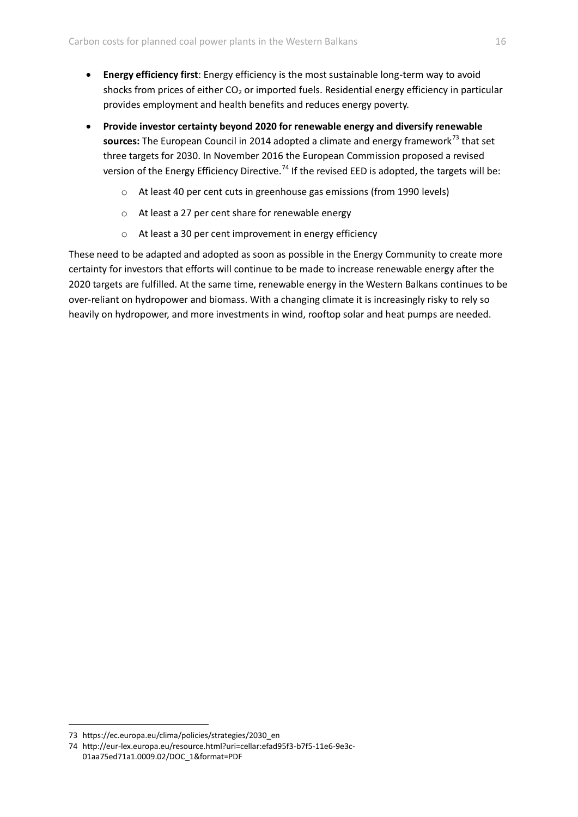- **Energy efficiency first**: Energy efficiency is the most sustainable long-term way to avoid shocks from prices of either  $CO<sub>2</sub>$  or imported fuels. Residential energy efficiency in particular provides employment and health benefits and reduces energy poverty.
- **Provide investor certainty beyond 2020 for renewable energy and diversify renewable**  sources: The European Council in 2014 adopted a climate and energy framework<sup>73</sup> that set three targets for 2030. In November 2016 the European Commission proposed a revised version of the Energy Efficiency Directive.<sup>74</sup> If the revised EED is adopted, the targets will be:
	- o At least 40 per cent cuts in greenhouse gas emissions (from 1990 levels)
	- o At least a 27 per cent share for renewable energy
	- o At least a 30 per cent improvement in energy efficiency

These need to be adapted and adopted as soon as possible in the Energy Community to create more certainty for investors that efforts will continue to be made to increase renewable energy after the 2020 targets are fulfilled. At the same time, renewable energy in the Western Balkans continues to be over-reliant on hydropower and biomass. With a changing climate it is increasingly risky to rely so heavily on hydropower, and more investments in wind, rooftop solar and heat pumps are needed.

<sup>73</sup> https://ec.europa.eu/clima/policies/strategies/2030\_en

<sup>74</sup> http://eur-lex.europa.eu/resource.html?uri=cellar:efad95f3-b7f5-11e6-9e3c-01aa75ed71a1.0009.02/DOC\_1&format=PDF